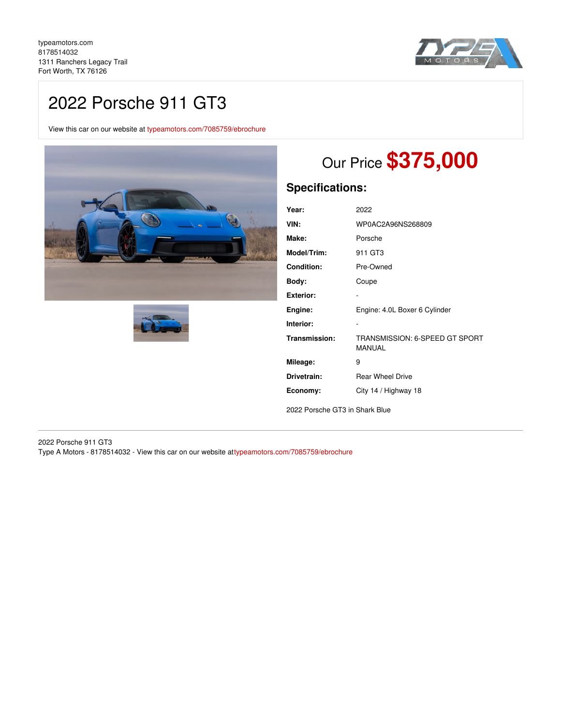

# 2022 Porsche 911 GT3

View this car on our website at [typeamotors.com/7085759/ebrochure](https://typeamotors.com/vehicle/7085759/2022-porsche-911-gt3-fort-worth-tx-76126/7085759/ebrochure)





# Our Price **\$375,000**

# **Specifications:**

| Year:            | 2022                                            |
|------------------|-------------------------------------------------|
| VIN:             | WP0AC2A96NS268809                               |
| Make:            | Porsche                                         |
| Model/Trim:      | 911 GT3                                         |
| Condition:       | Pre-Owned                                       |
| Body:            | Coupe                                           |
| <b>Exterior:</b> |                                                 |
| Engine:          | Engine: 4.0L Boxer 6 Cylinder                   |
| Interior:        |                                                 |
| Transmission:    | TRANSMISSION: 6-SPEED GT SPORT<br><b>MANUAL</b> |
| Mileage:         | 9                                               |
| Drivetrain:      | <b>Rear Wheel Drive</b>                         |
| Economy:         | City 14 / Highway 18                            |

2022 Porsche GT3 in Shark Blue

2022 Porsche 911 GT3 Type A Motors - 8178514032 - View this car on our website a[ttypeamotors.com/7085759/ebrochure](https://typeamotors.com/vehicle/7085759/2022-porsche-911-gt3-fort-worth-tx-76126/7085759/ebrochure)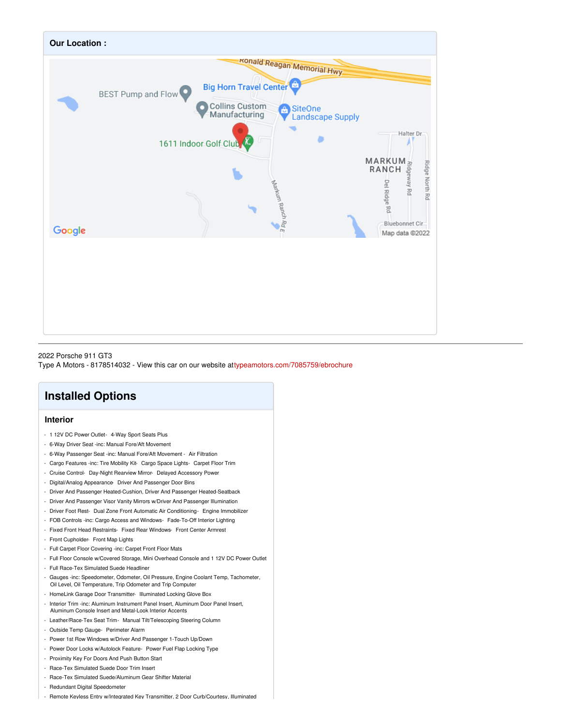

2022 Porsche 911 GT3 Type A Motors - 8178514032 - View this car on our website a[ttypeamotors.com/7085759/ebrochure](https://typeamotors.com/vehicle/7085759/2022-porsche-911-gt3-fort-worth-tx-76126/7085759/ebrochure)

# **Installed Options**

## **Interior**

- 1 12V DC Power Outlet- 4-Way Sport Seats Plus
- 6-Way Driver Seat -inc: Manual Fore/Aft Movement
- 6-Way Passenger Seat -inc: Manual Fore/Aft Movement Air Filtration
- Cargo Features -inc: Tire Mobility Kit- Cargo Space Lights- Carpet Floor Trim
- Cruise Control- Day-Night Rearview Mirror- Delayed Accessory Power
- Digital/Analog Appearance- Driver And Passenger Door Bins
- Driver And Passenger Heated-Cushion, Driver And Passenger Heated-Seatback
- Driver And Passenger Visor Vanity Mirrors w/Driver And Passenger Illumination
- Driver Foot Rest- Dual Zone Front Automatic Air Conditioning- Engine Immobilizer
- FOB Controls -inc: Cargo Access and Windows- Fade-To-Off Interior Lighting
- Fixed Front Head Restraints- Fixed Rear Windows- Front Center Armrest
- Front Cupholder- Front Map Lights
- Full Carpet Floor Covering -inc: Carpet Front Floor Mats
- Full Floor Console w/Covered Storage, Mini Overhead Console and 1 12V DC Power Outlet
- Full Race-Tex Simulated Suede Headliner
- Gauges -inc: Speedometer, Odometer, Oil Pressure, Engine Coolant Temp, Tachometer, Oil Level, Oil Temperature, Trip Odometer and Trip Computer
- HomeLink Garage Door Transmitter- Illuminated Locking Glove Box
- Interior Trim -inc: Aluminum Instrument Panel Insert, Aluminum Door Panel Insert, Aluminum Console Insert and Metal-Look Interior Accents
- Leather/Race-Tex Seat Trim- Manual Tilt/Telescoping Steering Column
- Outside Temp Gauge- Perimeter Alarm
- Power 1st Row Windows w/Driver And Passenger 1-Touch Up/Down
- Power Door Locks w/Autolock Feature- Power Fuel Flap Locking Type
- Proximity Key For Doors And Push Button Start
- Race-Tex Simulated Suede Door Trim Insert
- Race-Tex Simulated Suede/Aluminum Gear Shifter Material
- Redundant Digital Speedometer
- Remote Keyless Entry w/Integrated Key Transmitter, 2 Door Curb/Courtesy, Illuminated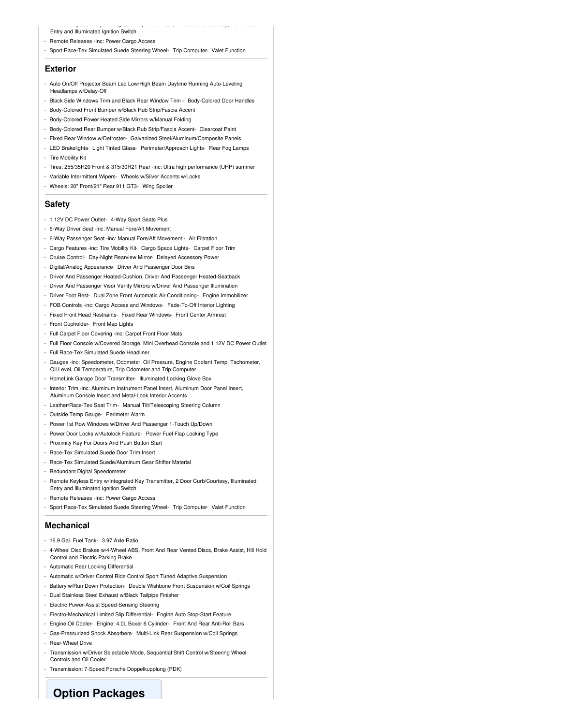#### - Remote Keyless Entry w/Integrated Key Transmitter, 2 Door Curb/Courtesy, Illuminated Entry and Illuminated Ignition Switch

- Remote Releases -Inc: Power Cargo Access
- Sport Race-Tex Simulated Suede Steering Wheel- Trip Computer- Valet Function

### **Exterior**

- Auto On/Off Projector Beam Led Low/High Beam Daytime Running Auto-Leveling Headlamps w/Delay-Off
- Black Side Windows Trim and Black Rear Window Trim Body-Colored Door Handles
- Body-Colored Front Bumper w/Black Rub Strip/Fascia Accent
- Body-Colored Power Heated Side Mirrors w/Manual Folding
- Body-Colored Rear Bumper w/Black Rub Strip/Fascia Accent- Clearcoat Paint
- Fixed Rear Window w/Defroster- Galvanized Steel/Aluminum/Composite Panels
- LED Brakelights- Light Tinted Glass- Perimeter/Approach Lights- Rear Fog Lamps - Tire Mobility Kit
- Tires: 255/35R20 Front & 315/30R21 Rear -inc: Ultra high performance (UHP) summer
- Variable Intermittent Wipers- Wheels w/Silver Accents w/Locks
- Wheels: 20" Front/21" Rear 911 GT3- Wing Spoiler

## **Safety**

- 1 12V DC Power Outlet- 4-Way Sport Seats Plus
- 6-Way Driver Seat -inc: Manual Fore/Aft Movement
- 6-Way Passenger Seat -inc: Manual Fore/Aft Movement Air Filtration
- Cargo Features -inc: Tire Mobility Kit- Cargo Space Lights- Carpet Floor Trim
- Cruise Control- Day-Night Rearview Mirror- Delayed Accessory Power
- Digital/Analog Appearance- Driver And Passenger Door Bins
- Driver And Passenger Heated-Cushion, Driver And Passenger Heated-Seatback
- Driver And Passenger Visor Vanity Mirrors w/Driver And Passenger Illumination
- Driver Foot Rest- Dual Zone Front Automatic Air Conditioning- Engine Immobilizer
- FOB Controls -inc: Cargo Access and Windows- Fade-To-Off Interior Lighting
- Fixed Front Head Restraints- Fixed Rear Windows- Front Center Armrest
- Front Cupholder- Front Map Lights
- Full Carpet Floor Covering -inc: Carpet Front Floor Mats
- Full Floor Console w/Covered Storage, Mini Overhead Console and 1 12V DC Power Outlet
- Full Race-Tex Simulated Suede Headliner
- Gauges -inc: Speedometer, Odometer, Oil Pressure, Engine Coolant Temp, Tachometer, Oil Level, Oil Temperature, Trip Odometer and Trip Computer
- HomeLink Garage Door Transmitter- Illuminated Locking Glove Box
- Interior Trim -inc: Aluminum Instrument Panel Insert, Aluminum Door Panel Insert, Aluminum Console Insert and Metal-Look Interior Accents
- Leather/Race-Tex Seat Trim- Manual Tilt/Telescoping Steering Column
- Outside Temp Gauge- Perimeter Alarm
- Power 1st Row Windows w/Driver And Passenger 1-Touch Up/Down
- Power Door Locks w/Autolock Feature- Power Fuel Flap Locking Type
- Proximity Key For Doors And Push Button Start
- Race-Tex Simulated Suede Door Trim Insert
- Race-Tex Simulated Suede/Aluminum Gear Shifter Material
- Redundant Digital Speedometer
- Remote Keyless Entry w/Integrated Key Transmitter, 2 Door Curb/Courtesy, Illuminated Entry and Illuminated Ignition Switch
- Remote Releases -Inc: Power Cargo Access
- Sport Race-Tex Simulated Suede Steering Wheel- Trip Computer- Valet Function

### **Mechanical**

- 16.9 Gal. Fuel Tank- 3.97 Axle Ratio
- 4-Wheel Disc Brakes w/4-Wheel ABS, Front And Rear Vented Discs, Brake Assist, Hill Hold Control and Electric Parking Brake
- Automatic Rear Locking Differential
- Automatic w/Driver Control Ride Control Sport Tuned Adaptive Suspension
- Battery w/Run Down Protection- Double Wishbone Front Suspension w/Coil Springs
- Dual Stainless Steel Exhaust w/Black Tailpipe Finisher
- Electric Power-Assist Speed-Sensing Steering
- Electro-Mechanical Limited Slip Differential- Engine Auto Stop-Start Feature
- Engine Oil Cooler- Engine: 4.0L Boxer 6 Cylinder- Front And Rear Anti-Roll Bars
- Gas-Pressurized Shock Absorbers- Multi-Link Rear Suspension w/Coil Springs - Rear-Wheel Drive
- Transmission w/Driver Selectable Mode, Sequential Shift Control w/Steering Wheel Controls and Oil Cooler
- Transmission: 7-Speed Porsche Doppelkupplung (PDK)

# **Option Packages**